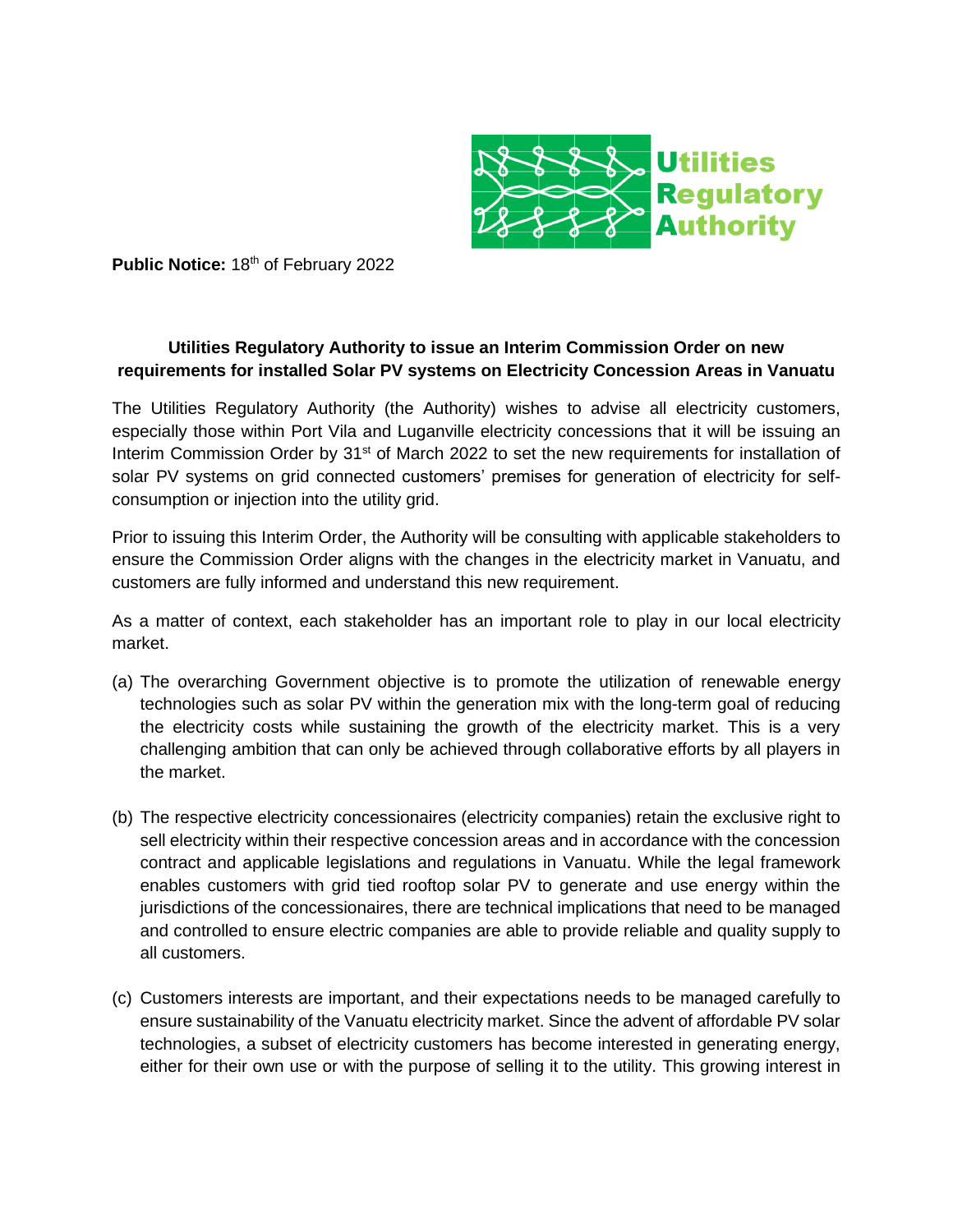

Public Notice: 18<sup>th</sup> of February 2022

## **Utilities Regulatory Authority to issue an Interim Commission Order on new requirements for installed Solar PV systems on Electricity Concession Areas in Vanuatu**

The Utilities Regulatory Authority (the Authority) wishes to advise all electricity customers, especially those within Port Vila and Luganville electricity concessions that it will be issuing an Interim Commission Order by 31<sup>st</sup> of March 2022 to set the new requirements for installation of solar PV systems on grid connected customers' premises for generation of electricity for selfconsumption or injection into the utility grid.

Prior to issuing this Interim Order, the Authority will be consulting with applicable stakeholders to ensure the Commission Order aligns with the changes in the electricity market in Vanuatu, and customers are fully informed and understand this new requirement.

As a matter of context, each stakeholder has an important role to play in our local electricity market.

- (a) The overarching Government objective is to promote the utilization of renewable energy technologies such as solar PV within the generation mix with the long-term goal of reducing the electricity costs while sustaining the growth of the electricity market. This is a very challenging ambition that can only be achieved through collaborative efforts by all players in the market.
- (b) The respective electricity concessionaires (electricity companies) retain the exclusive right to sell electricity within their respective concession areas and in accordance with the concession contract and applicable legislations and regulations in Vanuatu. While the legal framework enables customers with grid tied rooftop solar PV to generate and use energy within the jurisdictions of the concessionaires, there are technical implications that need to be managed and controlled to ensure electric companies are able to provide reliable and quality supply to all customers.
- (c) Customers interests are important, and their expectations needs to be managed carefully to ensure sustainability of the Vanuatu electricity market. Since the advent of affordable PV solar technologies, a subset of electricity customers has become interested in generating energy, either for their own use or with the purpose of selling it to the utility. This growing interest in